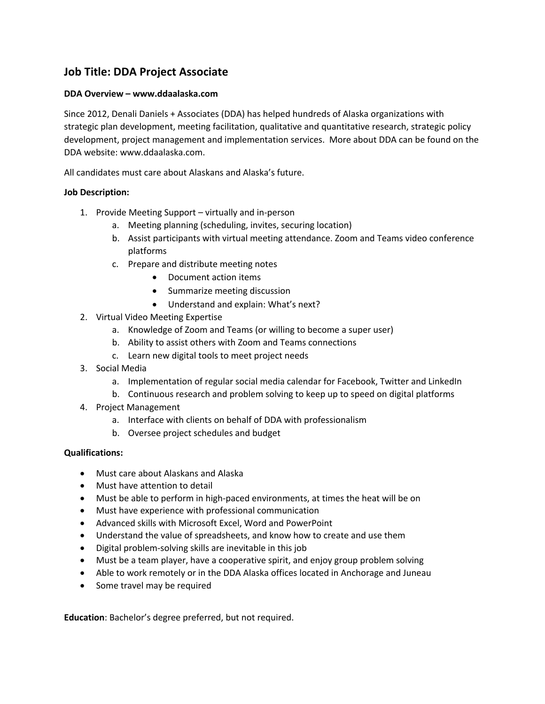## **Job Title: DDA Project Associate**

## **DDA Overview – www.ddaalaska.com**

Since 2012, Denali Daniels + Associates (DDA) has helped hundreds of Alaska organizations with strategic plan development, meeting facilitation, qualitative and quantitative research, strategic policy development, project management and implementation services. More about DDA can be found on the DDA website: www.ddaalaska.com.

All candidates must care about Alaskans and Alaska's future.

## **Job Description:**

- 1. Provide Meeting Support virtually and in-person
	- a. Meeting planning (scheduling, invites, securing location)
	- b. Assist participants with virtual meeting attendance. Zoom and Teams video conference platforms
	- c. Prepare and distribute meeting notes
		- Document action items
		- Summarize meeting discussion
		- Understand and explain: What's next?
- 2. Virtual Video Meeting Expertise
	- a. Knowledge of Zoom and Teams (or willing to become a super user)
	- b. Ability to assist others with Zoom and Teams connections
	- c. Learn new digital tools to meet project needs
- 3. Social Media
	- a. Implementation of regular social media calendar for Facebook, Twitter and LinkedIn
	- b. Continuous research and problem solving to keep up to speed on digital platforms
- 4. Project Management
	- a. Interface with clients on behalf of DDA with professionalism
	- b. Oversee project schedules and budget

## **Qualifications:**

- Must care about Alaskans and Alaska
- Must have attention to detail
- Must be able to perform in high-paced environments, at times the heat will be on
- Must have experience with professional communication
- Advanced skills with Microsoft Excel, Word and PowerPoint
- Understand the value of spreadsheets, and know how to create and use them
- Digital problem-solving skills are inevitable in this job
- Must be a team player, have a cooperative spirit, and enjoy group problem solving
- Able to work remotely or in the DDA Alaska offices located in Anchorage and Juneau
- Some travel may be required

**Education**: Bachelor's degree preferred, but not required.